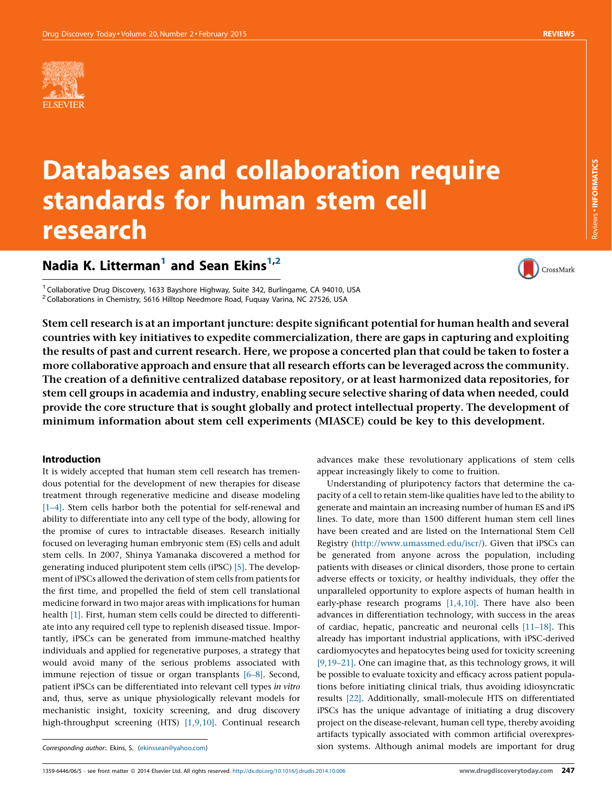

# Databases and collaboration require standards for human stem cell research

# Nadia K. Litterman<sup>1</sup> and Sean Ekins<sup>1,2</sup>

<sup>1</sup> Collaborative Drug Discovery, 1633 Bayshore Highway, Suite 342, Burlingame, CA 94010, USA  $^2$  Collaborations in Chemistry, 5616 Hilltop Needmore Road, Fuquay Varina, NC 27526, USA

Stem cell research is at an important juncture: despite significant potential for human health and several countries with key initiatives to expedite commercialization, there are gaps in capturing and exploiting the results of past and current research. Here, we propose a concerted plan that could be taken to foster a more collaborative approach and ensure that all research efforts can be leveraged across the community. The creation of a definitive centralized database repository, or at least harmonized data repositories, for stem cell groups in academia and industry, enabling secure selective sharing of data when needed, could provide the core structure that is sought globally and protect intellectual property. The development of minimum information about stem cell experiments (MIASCE) could be key to this development.

# Introduction

It is widely accepted that human stem cell research has tremendous potential for the development of new therapies for disease treatment through regenerative medicine and disease modeling [\[1–4\]](#page-6-0). Stem cells harbor both the potential for self-renewal and ability to differentiate into any cell type of the body, allowing for the promise of cures to intractable diseases. Research initially focused on leveraging human embryonic stem (ES) cells and adult stem cells. In 2007, Shinya Yamanaka discovered a method for generating induced pluripotent stem cells (iPSC) [\[5\].](#page-6-0) The development of iPSCs allowed the derivation of stem cells from patients for the first time, and propelled the field of stem cell translational medicine forward in two major areas with implications for human health [\[1\].](#page-6-0) First, human stem cells could be directed to differentiate into any required cell type to replenish diseased tissue. Importantly, iPSCs can be generated from immune-matched healthy individuals and applied for regenerative purposes, a strategy that would avoid many of the serious problems associated with immune rejection of tissue or organ transplants [\[6–8\]](#page-6-0). Second, patient iPSCs can be differentiated into relevant cell types in vitro and, thus, serve as unique physiologically relevant models for mechanistic insight, toxicity screening, and drug discovery high-throughput screening (HTS) [\[1,9,10\].](#page-6-0) Continual research advances make these revolutionary applications of stem cells appear increasingly likely to come to fruition.

Understanding of pluripotency factors that determine the capacity of a cell to retain stem-like qualities have led to the ability to generate and maintain an increasing number of human ES and iPS lines. To date, more than 1500 different human stem cell lines have been created and are listed on the International Stem Cell Registry (<http://www.umassmed.edu/iscr/>). Given that iPSCs can be generated from anyone across the population, including patients with diseases or clinical disorders, those prone to certain adverse effects or toxicity, or healthy individuals, they offer the unparalleled opportunity to explore aspects of human health in early-phase research programs [\[1,4,10\].](#page-6-0) There have also been advances in differentiation technology, with success in the areas of cardiac, hepatic, pancreatic and neuronal cells [\[11–18\]](#page-6-0). This already has important industrial applications, with iPSC-derived cardiomyocytes and hepatocytes being used for toxicity screening [\[9,19–21\]](#page-6-0). One can imagine that, as this technology grows, it will be possible to evaluate toxicity and efficacy across patient populations before initiating clinical trials, thus avoiding idiosyncratic results [\[22\].](#page-6-0) Additionally, small-molecule HTS on differentiated iPSCs has the unique advantage of initiating a drug discovery project on the disease-relevant, human cell type, thereby avoiding artifacts typically associated with common artificial overexpression systems. Although animal models are important for drug

CrossMark

Corresponding author:. Ekins, S. [\(ekinssean@yahoo.com\)](mailto:ekinssean@yahoo.com)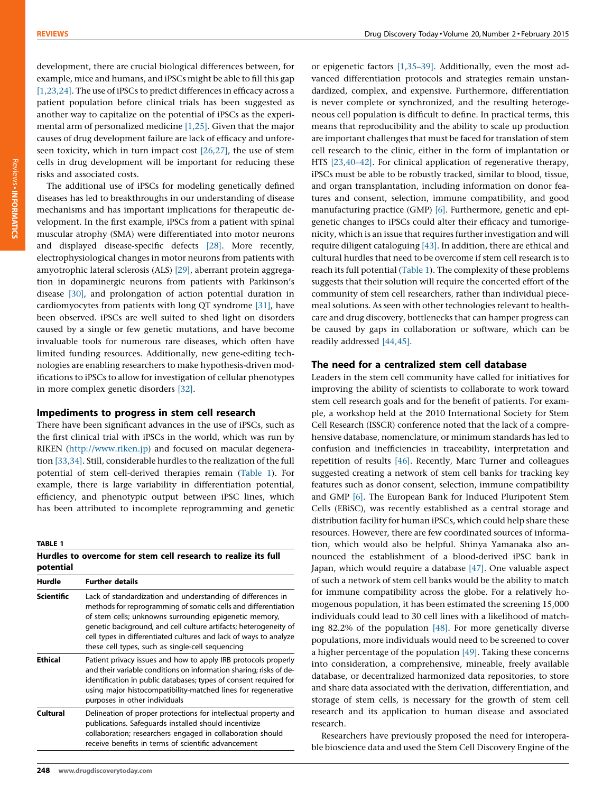<span id="page-1-0"></span>development, there are crucial biological differences between, for example, mice and humans, and iPSCs might be able to fill this gap [\[1,23,24\].](#page-6-0) The use of iPSCs to predict differences in efficacy across a patient population before clinical trials has been suggested as another way to capitalize on the potential of iPSCs as the experimental arm of personalized medicine [\[1,25\].](#page-6-0) Given that the major causes of drug development failure are lack of efficacy and unforeseen toxicity, which in turn impact cost [\[26,27\]](#page-6-0), the use of stem cells in drug development will be important for reducing these risks and associated costs.

The additional use of iPSCs for modeling genetically defined diseases has led to breakthroughs in our understanding of disease mechanisms and has important implications for therapeutic development. In the first example, iPSCs from a patient with spinal muscular atrophy (SMA) were differentiated into motor neurons and displayed disease-specific defects [\[28\].](#page-6-0) More recently, electrophysiological changes in motor neurons from patients with amyotrophic lateral sclerosis (ALS) [\[29\]](#page-6-0), aberrant protein aggregation in dopaminergic neurons from patients with Parkinson's disease [\[30\],](#page-6-0) and prolongation of action potential duration in cardiomyocytes from patients with long QT syndrome [\[31\],](#page-6-0) have been observed. iPSCs are well suited to shed light on disorders caused by a single or few genetic mutations, and have become invaluable tools for numerous rare diseases, which often have limited funding resources. Additionally, new gene-editing technologies are enabling researchers to make hypothesis-driven modifications to iPSCs to allow for investigation of cellular phenotypes in more complex genetic disorders [\[32\]](#page-6-0).

# Impediments to progress in stem cell research

There have been significant advances in the use of iPSCs, such as the first clinical trial with iPSCs in the world, which was run by RIKEN ([http://www.riken.jp](http://www.riken.jp/)) and focused on macular degeneration [\[33,34\].](#page-6-0) Still, considerable hurdles to the realization of the full potential of stem cell-derived therapies remain (Table 1). For example, there is large variability in differentiation potential, efficiency, and phenotypic output between iPSC lines, which has been attributed to incomplete reprogramming and genetic

#### TABLE 1

| Hurdles to overcome for stem cell research to realize its full<br>potential |                                                                                                                                                                                                                                                                                                                                                                                      |  |  |  |
|-----------------------------------------------------------------------------|--------------------------------------------------------------------------------------------------------------------------------------------------------------------------------------------------------------------------------------------------------------------------------------------------------------------------------------------------------------------------------------|--|--|--|
| Hurdle                                                                      | <b>Further details</b>                                                                                                                                                                                                                                                                                                                                                               |  |  |  |
| Scientific                                                                  | Lack of standardization and understanding of differences in<br>methods for reprogramming of somatic cells and differentiation<br>of stem cells; unknowns surrounding epigenetic memory,<br>genetic background, and cell culture artifacts; heterogeneity of<br>cell types in differentiated cultures and lack of ways to analyze<br>these cell types, such as single-cell sequencing |  |  |  |
| Ethical                                                                     | Patient privacy issues and how to apply IRB protocols properly<br>and their variable conditions on information sharing; risks of de-<br>identification in public databases; types of consent required for<br>using major histocompatibility-matched lines for regenerative<br>purposes in other individuals                                                                          |  |  |  |
| Cultural                                                                    | Delineation of proper protections for intellectual property and<br>publications. Safeguards installed should incentivize<br>collaboration; researchers engaged in collaboration should<br>receive benefits in terms of scientific advancement                                                                                                                                        |  |  |  |

or epigenetic factors [\[1,35–39\]](#page-6-0). Additionally, even the most advanced differentiation protocols and strategies remain unstandardized, complex, and expensive. Furthermore, differentiation is never complete or synchronized, and the resulting heterogeneous cell population is difficult to define. In practical terms, this means that reproducibility and the ability to scale up production are important challenges that must be faced for translation of stem cell research to the clinic, either in the form of implantation or HTS [\[23,40–42\].](#page-6-0) For clinical application of regenerative therapy, iPSCs must be able to be robustly tracked, similar to blood, tissue, and organ transplantation, including information on donor features and consent, selection, immune compatibility, and good manufacturing practice (GMP) [\[6\]](#page-6-0). Furthermore, genetic and epigenetic changes to iPSCs could alter their efficacy and tumorigenicity, which is an issue that requires further investigation and will require diligent cataloguing [\[43\]](#page-7-0). In addition, there are ethical and cultural hurdles that need to be overcome if stem cell research is to reach its full potential (Table 1). The complexity of these problems suggests that their solution will require the concerted effort of the community of stem cell researchers, rather than individual piecemeal solutions. As seen with other technologies relevant to healthcare and drug discovery, bottlenecks that can hamper progress can be caused by gaps in collaboration or software, which can be readily addressed [\[44,45\]](#page-7-0).

# The need for a centralized stem cell database

Leaders in the stem cell community have called for initiatives for improving the ability of scientists to collaborate to work toward stem cell research goals and for the benefit of patients. For example, a workshop held at the 2010 International Society for Stem Cell Research (ISSCR) conference noted that the lack of a comprehensive database, nomenclature, or minimum standards has led to confusion and inefficiencies in traceability, interpretation and repetition of results [\[46\].](#page-7-0) Recently, Marc Turner and colleagues suggested creating a network of stem cell banks for tracking key features such as donor consent, selection, immune compatibility and GMP [\[6\].](#page-6-0) The European Bank for Induced Pluripotent Stem Cells (EBiSC), was recently established as a central storage and distribution facility for human iPSCs, which could help share these resources. However, there are few coordinated sources of information, which would also be helpful. Shinya Yamanaka also announced the establishment of a blood-derived iPSC bank in Japan, which would require a database [\[47\].](#page-7-0) One valuable aspect of such a network of stem cell banks would be the ability to match for immune compatibility across the globe. For a relatively homogenous population, it has been estimated the screening 15,000 individuals could lead to 30 cell lines with a likelihood of matching 82.2% of the population [\[48\]](#page-7-0). For more genetically diverse populations, more individuals would need to be screened to cover a higher percentage of the population [\[49\].](#page-7-0) Taking these concerns into consideration, a comprehensive, mineable, freely available database, or decentralized harmonized data repositories, to store and share data associated with the derivation, differentiation, and storage of stem cells, is necessary for the growth of stem cell research and its application to human disease and associated research.

Researchers have previously proposed the need for interoperable bioscience data and used the Stem Cell Discovery Engine of the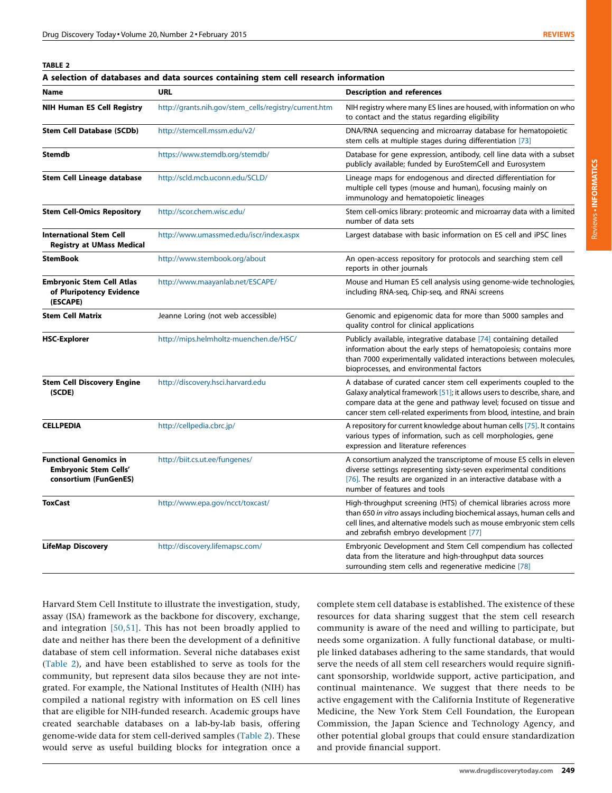<span id="page-2-0"></span>

| A selection of databases and data sources containing stem cell research information    |                                                                                                                                                                                                                                                                                                   |                                                                                                                                                                                                                                                                                              |  |  |  |
|----------------------------------------------------------------------------------------|---------------------------------------------------------------------------------------------------------------------------------------------------------------------------------------------------------------------------------------------------------------------------------------------------|----------------------------------------------------------------------------------------------------------------------------------------------------------------------------------------------------------------------------------------------------------------------------------------------|--|--|--|
| Name                                                                                   | URL                                                                                                                                                                                                                                                                                               | <b>Description and references</b>                                                                                                                                                                                                                                                            |  |  |  |
| <b>NIH Human ES Cell Registry</b>                                                      | http://grants.nih.gov/stem_cells/registry/current.htm                                                                                                                                                                                                                                             | NIH registry where many ES lines are housed, with information on who<br>to contact and the status regarding eligibility                                                                                                                                                                      |  |  |  |
| <b>Stem Cell Database (SCDb)</b>                                                       | http://stemcell.mssm.edu/v2/                                                                                                                                                                                                                                                                      | DNA/RNA sequencing and microarray database for hematopoietic<br>stem cells at multiple stages during differentiation [73]                                                                                                                                                                    |  |  |  |
| <b>Stemdb</b>                                                                          | https://www.stemdb.org/stemdb/                                                                                                                                                                                                                                                                    | Database for gene expression, antibody, cell line data with a subset<br>publicly available; funded by EuroStemCell and Eurosystem                                                                                                                                                            |  |  |  |
| <b>Stem Cell Lineage database</b>                                                      | http://scld.mcb.uconn.edu/SCLD/                                                                                                                                                                                                                                                                   | Lineage maps for endogenous and directed differentiation for<br>multiple cell types (mouse and human), focusing mainly on<br>immunology and hematopoietic lineages                                                                                                                           |  |  |  |
| <b>Stem Cell-Omics Repository</b>                                                      | http://scor.chem.wisc.edu/                                                                                                                                                                                                                                                                        | Stem cell-omics library: proteomic and microarray data with a limited<br>number of data sets                                                                                                                                                                                                 |  |  |  |
| <b>International Stem Cell</b><br><b>Registry at UMass Medical</b>                     | http://www.umassmed.edu/iscr/index.aspx                                                                                                                                                                                                                                                           | Largest database with basic information on ES cell and iPSC lines                                                                                                                                                                                                                            |  |  |  |
| <b>StemBook</b>                                                                        | http://www.stembook.org/about                                                                                                                                                                                                                                                                     | An open-access repository for protocols and searching stem cell<br>reports in other journals                                                                                                                                                                                                 |  |  |  |
| <b>Embryonic Stem Cell Atlas</b><br>of Pluripotency Evidence<br>(ESCAPE)               | http://www.maayanlab.net/ESCAPE/                                                                                                                                                                                                                                                                  | Mouse and Human ES cell analysis using genome-wide technologies,<br>including RNA-seq, Chip-seq, and RNAi screens                                                                                                                                                                            |  |  |  |
| <b>Stem Cell Matrix</b>                                                                | Jeanne Loring (not web accessible)                                                                                                                                                                                                                                                                | Genomic and epigenomic data for more than 5000 samples and<br>quality control for clinical applications                                                                                                                                                                                      |  |  |  |
| <b>HSC-Explorer</b>                                                                    | http://mips.helmholtz-muenchen.de/HSC/                                                                                                                                                                                                                                                            | Publicly available, integrative database [74] containing detailed<br>information about the early steps of hematopoiesis; contains more<br>than 7000 experimentally validated interactions between molecules,<br>bioprocesses, and environmental factors                                      |  |  |  |
| <b>Stem Cell Discovery Engine</b><br>http://discovery.hsci.harvard.edu<br>(SCDE)       |                                                                                                                                                                                                                                                                                                   | A database of curated cancer stem cell experiments coupled to the<br>Galaxy analytical framework [51]; it allows users to describe, share, and<br>compare data at the gene and pathway level; focused on tissue and<br>cancer stem cell-related experiments from blood, intestine, and brain |  |  |  |
| <b>CELLPEDIA</b>                                                                       | http://cellpedia.cbrc.jp/                                                                                                                                                                                                                                                                         | A repository for current knowledge about human cells [75]. It contains<br>various types of information, such as cell morphologies, gene<br>expression and literature references                                                                                                              |  |  |  |
| <b>Functional Genomics in</b><br><b>Embryonic Stem Cells'</b><br>consortium (FunGenES) | http://biit.cs.ut.ee/fungenes/                                                                                                                                                                                                                                                                    | A consortium analyzed the transcriptome of mouse ES cells in eleven<br>diverse settings representing sixty-seven experimental conditions<br>[76]. The results are organized in an interactive database with a<br>number of features and tools                                                |  |  |  |
| <b>ToxCast</b>                                                                         | http://www.epa.gov/ncct/toxcast/<br>High-throughput screening (HTS) of chemical libraries across more<br>than 650 in vitro assays including biochemical assays, human cells and<br>cell lines, and alternative models such as mouse embryonic stem cells<br>and zebrafish embryo development [77] |                                                                                                                                                                                                                                                                                              |  |  |  |
| <b>LifeMap Discovery</b>                                                               | http://discovery.lifemapsc.com/                                                                                                                                                                                                                                                                   | Embryonic Development and Stem Cell compendium has collected<br>data from the literature and high-throughput data sources<br>surrounding stem cells and regenerative medicine [78]                                                                                                           |  |  |  |

Harvard Stem Cell Institute to illustrate the investigation, study, assay (ISA) framework as the backbone for discovery, exchange, and integration [\[50,51\].](#page-7-0) This has not been broadly applied to date and neither has there been the development of a definitive database of stem cell information. Several niche databases exist (Table 2), and have been established to serve as tools for the community, but represent data silos because they are not integrated. For example, the National Institutes of Health (NIH) has compiled a national registry with information on ES cell lines that are eligible for NIH-funded research. Academic groups have created searchable databases on a lab-by-lab basis, offering genome-wide data for stem cell-derived samples (Table 2). These would serve as useful building blocks for integration once a complete stem cell database is established. The existence of these resources for data sharing suggest that the stem cell research community is aware of the need and willing to participate, but needs some organization. A fully functional database, or multiple linked databases adhering to the same standards, that would serve the needs of all stem cell researchers would require significant sponsorship, worldwide support, active participation, and continual maintenance. We suggest that there needs to be active engagement with the California Institute of Regenerative Medicine, the New York Stem Cell Foundation, the European Commission, the Japan Science and Technology Agency, and other potential global groups that could ensure standardization and provide financial support.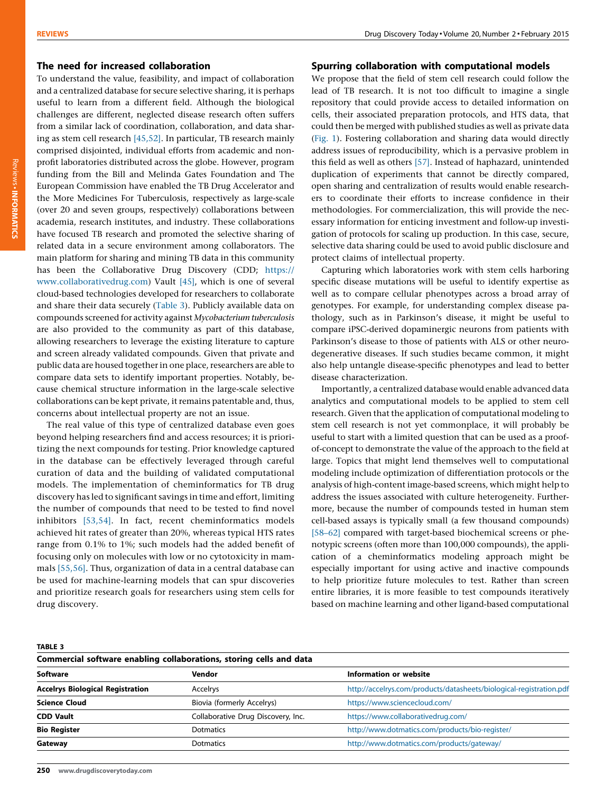# The need for increased collaboration

To understand the value, feasibility, and impact of collaboration and a centralized database for secure selective sharing, it is perhaps useful to learn from a different field. Although the biological challenges are different, neglected disease research often suffers from a similar lack of coordination, collaboration, and data sharing as stem cell research [\[45,52\]](#page-7-0). In particular, TB research mainly comprised disjointed, individual efforts from academic and nonprofit laboratories distributed across the globe. However, program funding from the Bill and Melinda Gates Foundation and The European Commission have enabled the TB Drug Accelerator and the More Medicines For Tuberculosis, respectively as large-scale (over 20 and seven groups, respectively) collaborations between academia, research institutes, and industry. These collaborations have focused TB research and promoted the selective sharing of related data in a secure environment among collaborators. The main platform for sharing and mining TB data in this community has been the Collaborative Drug Discovery (CDD; [https://](https://www.collaborativedrug.com/) [www.collaborativedrug.com](https://www.collaborativedrug.com/)) Vault [\[45\],](#page-7-0) which is one of several cloud-based technologies developed for researchers to collaborate and share their data securely (Table 3). Publicly available data on compounds screened for activity against Mycobacterium tuberculosis are also provided to the community as part of this database, allowing researchers to leverage the existing literature to capture and screen already validated compounds. Given that private and public data are housed together in one place, researchers are able to compare data sets to identify important properties. Notably, because chemical structure information in the large-scale selective collaborations can be kept private, it remains patentable and, thus, concerns about intellectual property are not an issue.

The real value of this type of centralized database even goes beyond helping researchers find and access resources; it is prioritizing the next compounds for testing. Prior knowledge captured in the database can be effectively leveraged through careful curation of data and the building of validated computational models. The implementation of cheminformatics for TB drug discovery has led to significant savings in time and effort, limiting the number of compounds that need to be tested to find novel inhibitors [\[53,54\]](#page-7-0). In fact, recent cheminformatics models achieved hit rates of greater than 20%, whereas typical HTS rates range from 0.1% to 1%; such models had the added benefit of focusing only on molecules with low or no cytotoxicity in mammals [\[55,56\].](#page-7-0) Thus, organization of data in a central database can be used for machine-learning models that can spur discoveries and prioritize research goals for researchers using stem cells for drug discovery.

#### Spurring collaboration with computational models

We propose that the field of stem cell research could follow the lead of TB research. It is not too difficult to imagine a single repository that could provide access to detailed information on cells, their associated preparation protocols, and HTS data, that could then be merged with published studies as well as private data ([Fig.](#page-4-0) 1). Fostering collaboration and sharing data would directly address issues of reproducibility, which is a pervasive problem in this field as well as others [\[57\]](#page-7-0). Instead of haphazard, unintended duplication of experiments that cannot be directly compared, open sharing and centralization of results would enable researchers to coordinate their efforts to increase confidence in their methodologies. For commercialization, this will provide the necessary information for enticing investment and follow-up investigation of protocols for scaling up production. In this case, secure, selective data sharing could be used to avoid public disclosure and protect claims of intellectual property.

Capturing which laboratories work with stem cells harboring specific disease mutations will be useful to identify expertise as well as to compare cellular phenotypes across a broad array of genotypes. For example, for understanding complex disease pathology, such as in Parkinson's disease, it might be useful to compare iPSC-derived dopaminergic neurons from patients with Parkinson's disease to those of patients with ALS or other neurodegenerative diseases. If such studies became common, it might also help untangle disease-specific phenotypes and lead to better disease characterization.

Importantly, a centralized database would enable advanced data analytics and computational models to be applied to stem cell research. Given that the application of computational modeling to stem cell research is not yet commonplace, it will probably be useful to start with a limited question that can be used as a proofof-concept to demonstrate the value of the approach to the field at large. Topics that might lend themselves well to computational modeling include optimization of differentiation protocols or the analysis of high-content image-based screens, which might help to address the issues associated with culture heterogeneity. Furthermore, because the number of compounds tested in human stem cell-based assays is typically small (a few thousand compounds) [\[58–62\]](#page-7-0) compared with target-based biochemical screens or phenotypic screens (often more than 100,000 compounds), the application of a cheminformatics modeling approach might be especially important for using active and inactive compounds to help prioritize future molecules to test. Rather than screen entire libraries, it is more feasible to test compounds iteratively based on machine learning and other ligand-based computational

TABLE 3

| Commercial software enabling collaborations, storing cells and data |                                    |                                                                     |  |  |  |
|---------------------------------------------------------------------|------------------------------------|---------------------------------------------------------------------|--|--|--|
| <b>Software</b>                                                     | Vendor                             | Information or website                                              |  |  |  |
| <b>Accelrys Biological Registration</b>                             | Accelrys                           | http://accelrys.com/products/datasheets/biological-registration.pdf |  |  |  |
| <b>Science Cloud</b>                                                | Biovia (formerly Accelrys)         | https://www.sciencecloud.com/                                       |  |  |  |
| <b>CDD Vault</b>                                                    | Collaborative Drug Discovery, Inc. | https://www.collaborativedrug.com/                                  |  |  |  |
| <b>Bio Register</b>                                                 | <b>Dotmatics</b>                   | http://www.dotmatics.com/products/bio-register/                     |  |  |  |
| Gateway                                                             | <b>Dotmatics</b>                   | http://www.dotmatics.com/products/gateway/                          |  |  |  |
|                                                                     |                                    |                                                                     |  |  |  |

Reviews -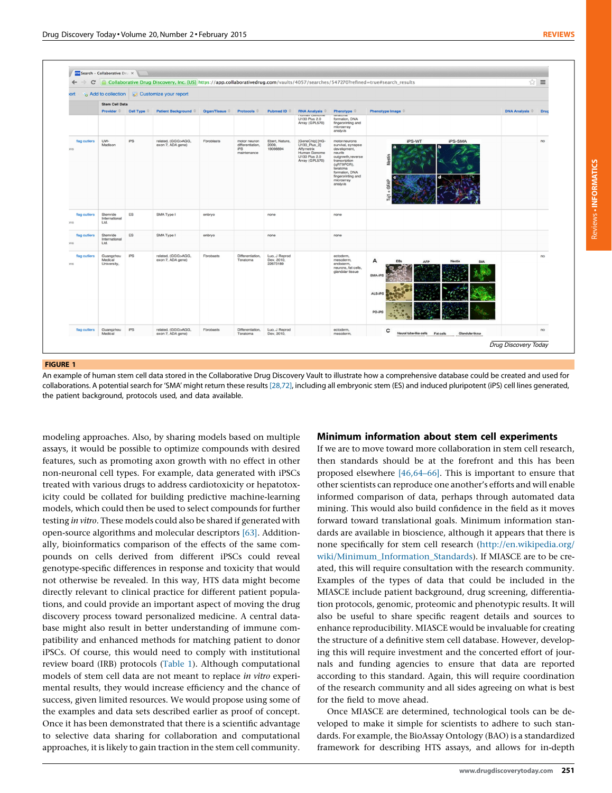<span id="page-4-0"></span>

FIGURE 1

An example of human stem cell data stored in the Collaborative Drug Discovery Vault to illustrate how a comprehensive database could be created and used for collaborations. A potential search for 'SMA' might return these results [\[28,72\]](#page-6-0), including all embryonic stem (ES) and induced pluripotent (iPS) cell lines generated, the patient background, protocols used, and data available.

modeling approaches. Also, by sharing models based on multiple assays, it would be possible to optimize compounds with desired features, such as promoting axon growth with no effect in other non-neuronal cell types. For example, data generated with iPSCs treated with various drugs to address cardiotoxicity or hepatotoxicity could be collated for building predictive machine-learning models, which could then be used to select compounds for further testing in vitro. These models could also be shared if generated with open-source algorithms and molecular descriptors [\[63\].](#page-7-0) Additionally, bioinformatics comparison of the effects of the same compounds on cells derived from different iPSCs could reveal genotype-specific differences in response and toxicity that would not otherwise be revealed. In this way, HTS data might become directly relevant to clinical practice for different patient populations, and could provide an important aspect of moving the drug discovery process toward personalized medicine. A central database might also result in better understanding of immune compatibility and enhanced methods for matching patient to donor iPSCs. Of course, this would need to comply with institutional review board (IRB) protocols [\(Table](#page-1-0) 1). Although computational models of stem cell data are not meant to replace in vitro experimental results, they would increase efficiency and the chance of success, given limited resources. We would propose using some of the examples and data sets described earlier as proof of concept. Once it has been demonstrated that there is a scientific advantage to selective data sharing for collaboration and computational approaches, it is likely to gain traction in the stem cell community.

# Minimum information about stem cell experiments

If we are to move toward more collaboration in stem cell research, then standards should be at the forefront and this has been proposed elsewhere [\[46,64–66\]](#page-7-0). This is important to ensure that other scientists can reproduce one another's efforts and will enable informed comparison of data, perhaps through automated data mining. This would also build confidence in the field as it moves forward toward translational goals. Minimum information standards are available in bioscience, although it appears that there is none specifically for stem cell research [\(http://en.wikipedia.org/](http://en.wikipedia.org/wiki/Minimum_Information_Standards) [wiki/Minimum\\_Information\\_Standards](http://en.wikipedia.org/wiki/Minimum_Information_Standards)). If MIASCE are to be created, this will require consultation with the research community. Examples of the types of data that could be included in the MIASCE include patient background, drug screening, differentiation protocols, genomic, proteomic and phenotypic results. It will also be useful to share specific reagent details and sources to enhance reproducibility. MIASCE would be invaluable for creating the structure of a definitive stem cell database. However, developing this will require investment and the concerted effort of journals and funding agencies to ensure that data are reported according to this standard. Again, this will require coordination of the research community and all sides agreeing on what is best for the field to move ahead.

Once MIASCE are determined, technological tools can be developed to make it simple for scientists to adhere to such standards. For example, the BioAssay Ontology (BAO) is a standardized framework for describing HTS assays, and allows for in-depth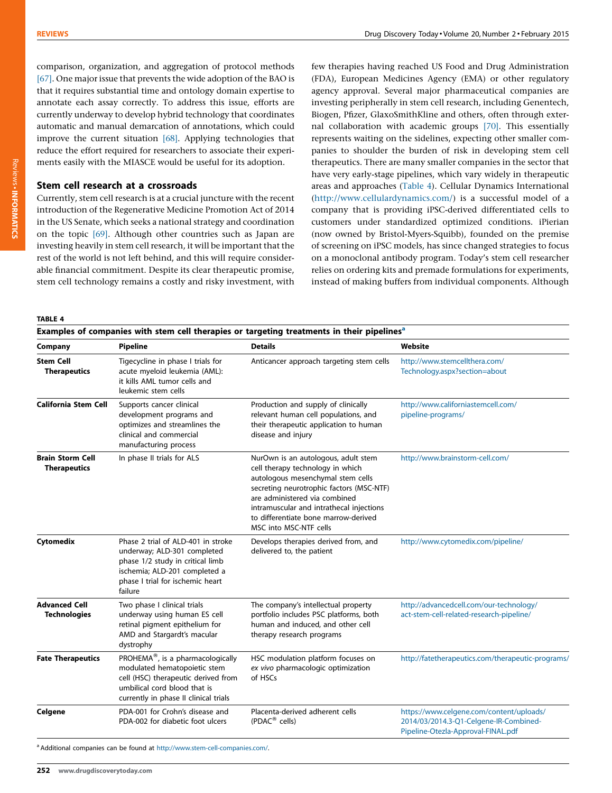comparison, organization, and aggregation of protocol methods [\[67\].](#page-7-0) One major issue that prevents the wide adoption of the BAO is that it requires substantial time and ontology domain expertise to annotate each assay correctly. To address this issue, efforts are currently underway to develop hybrid technology that coordinates automatic and manual demarcation of annotations, which could improve the current situation [\[68\].](#page-7-0) Applying technologies that reduce the effort required for researchers to associate their experiments easily with the MIASCE would be useful for its adoption.

# Stem cell research at a crossroads

Currently, stem cell research is at a crucial juncture with the recent introduction of the Regenerative Medicine Promotion Act of 2014 in the US Senate, which seeks a national strategy and coordination on the topic [\[69\]](#page-7-0). Although other countries such as Japan are investing heavily in stem cell research, it will be important that the rest of the world is not left behind, and this will require considerable financial commitment. Despite its clear therapeutic promise, stem cell technology remains a costly and risky investment, with

TABLE 4

few therapies having reached US Food and Drug Administration (FDA), European Medicines Agency (EMA) or other regulatory agency approval. Several major pharmaceutical companies are investing peripherally in stem cell research, including Genentech, Biogen, Pfizer, GlaxoSmithKline and others, often through external collaboration with academic groups [\[70\]](#page-7-0). This essentially represents waiting on the sidelines, expecting other smaller companies to shoulder the burden of risk in developing stem cell therapeutics. There are many smaller companies in the sector that have very early-stage pipelines, which vary widely in therapeutic areas and approaches (Table 4). Cellular Dynamics International (<http://www.cellulardynamics.com/>) is a successful model of a company that is providing iPSC-derived differentiated cells to customers under standardized optimized conditions. iPierian (now owned by Bristol-Myers-Squibb), founded on the premise of screening on iPSC models, has since changed strategies to focus on a monoclonal antibody program. Today's stem cell researcher relies on ordering kits and premade formulations for experiments, instead of making buffers from individual components. Although

| Examples of companies with stem cell therapies or targeting treatments in their pipelines <sup>a</sup> |                                                                                                                                                                                               |                                                                                                                                                                                                                                                                                                         |                                                                                                                          |  |  |  |
|--------------------------------------------------------------------------------------------------------|-----------------------------------------------------------------------------------------------------------------------------------------------------------------------------------------------|---------------------------------------------------------------------------------------------------------------------------------------------------------------------------------------------------------------------------------------------------------------------------------------------------------|--------------------------------------------------------------------------------------------------------------------------|--|--|--|
| Company                                                                                                | <b>Pipeline</b>                                                                                                                                                                               | <b>Details</b>                                                                                                                                                                                                                                                                                          | Website                                                                                                                  |  |  |  |
| <b>Stem Cell</b><br><b>Therapeutics</b>                                                                | Tigecycline in phase I trials for<br>acute myeloid leukemia (AML):<br>it kills AML tumor cells and<br>leukemic stem cells                                                                     | Anticancer approach targeting stem cells                                                                                                                                                                                                                                                                | http://www.stemcellthera.com/<br>Technology.aspx?section=about                                                           |  |  |  |
| California Stem Cell                                                                                   | Supports cancer clinical<br>development programs and<br>optimizes and streamlines the<br>clinical and commercial<br>manufacturing process                                                     | Production and supply of clinically<br>relevant human cell populations, and<br>their therapeutic application to human<br>disease and injury                                                                                                                                                             | http://www.californiastemcell.com/<br>pipeline-programs/                                                                 |  |  |  |
| <b>Brain Storm Cell</b><br><b>Therapeutics</b>                                                         | In phase II trials for ALS                                                                                                                                                                    | NurOwn is an autologous, adult stem<br>cell therapy technology in which<br>autologous mesenchymal stem cells<br>secreting neurotrophic factors (MSC-NTF)<br>are administered via combined<br>intramuscular and intrathecal injections<br>to differentiate bone marrow-derived<br>MSC into MSC-NTF cells | http://www.brainstorm-cell.com/                                                                                          |  |  |  |
| Cytomedix                                                                                              | Phase 2 trial of ALD-401 in stroke<br>underway; ALD-301 completed<br>phase 1/2 study in critical limb<br>ischemia; ALD-201 completed a<br>phase I trial for ischemic heart<br>failure         | Develops therapies derived from, and<br>delivered to, the patient                                                                                                                                                                                                                                       | http://www.cytomedix.com/pipeline/                                                                                       |  |  |  |
| <b>Advanced Cell</b><br><b>Technologies</b>                                                            | Two phase I clinical trials<br>underway using human ES cell<br>retinal pigment epithelium for<br>AMD and Stargardt's macular<br>dystrophy                                                     | The company's intellectual property<br>portfolio includes PSC platforms, both<br>human and induced, and other cell<br>therapy research programs                                                                                                                                                         | http://advancedcell.com/our-technology/<br>act-stem-cell-related-research-pipeline/                                      |  |  |  |
| <b>Fate Therapeutics</b>                                                                               | PROHEMA <sup>®</sup> , is a pharmacologically<br>modulated hematopoietic stem<br>cell (HSC) therapeutic derived from<br>umbilical cord blood that is<br>currently in phase II clinical trials | HSC modulation platform focuses on<br>ex vivo pharmacologic optimization<br>of HSCs                                                                                                                                                                                                                     | http://fatetherapeutics.com/therapeutic-programs/                                                                        |  |  |  |
| Celgene                                                                                                | PDA-001 for Crohn's disease and<br>PDA-002 for diabetic foot ulcers                                                                                                                           | Placenta-derived adherent cells<br>$(PDAC^{\circledR}$ cells)                                                                                                                                                                                                                                           | https://www.celgene.com/content/uploads/<br>2014/03/2014.3-Q1-Celgene-IR-Combined-<br>Pipeline-Otezla-Approval-FINAL.pdf |  |  |  |

<sup>a</sup> Additional companies can be found at <http://www.stem-cell-companies.com/>.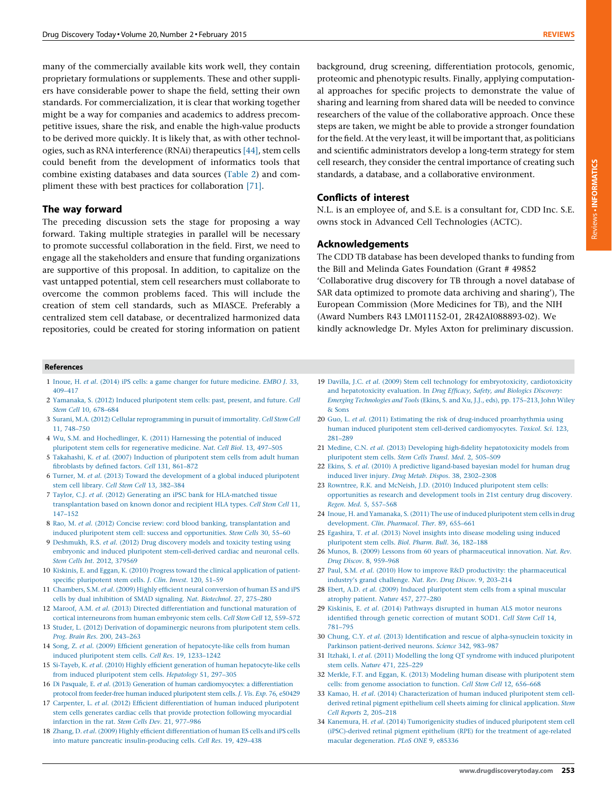<span id="page-6-0"></span>many of the commercially available kits work well, they contain proprietary formulations or supplements. These and other suppliers have considerable power to shape the field, setting their own standards. For commercialization, it is clear that working together might be a way for companies and academics to address precompetitive issues, share the risk, and enable the high-value products to be derived more quickly. It is likely that, as with other technologies, such as RNA interference (RNAi) therapeutics [\[44\],](#page-7-0) stem cells could benefit from the development of informatics tools that combine existing databases and data sources [\(Table](#page-2-0) 2) and compliment these with best practices for collaboration [\[71\]](#page-7-0).

# The way forward

The preceding discussion sets the stage for proposing a way forward. Taking multiple strategies in parallel will be necessary to promote successful collaboration in the field. First, we need to engage all the stakeholders and ensure that funding organizations are supportive of this proposal. In addition, to capitalize on the vast untapped potential, stem cell researchers must collaborate to overcome the common problems faced. This will include the creation of stem cell standards, such as MIASCE. Preferably a centralized stem cell database, or decentralized harmonized data repositories, could be created for storing information on patient

background, drug screening, differentiation protocols, genomic, proteomic and phenotypic results. Finally, applying computational approaches for specific projects to demonstrate the value of sharing and learning from shared data will be needed to convince researchers of the value of the collaborative approach. Once these steps are taken, we might be able to provide a stronger foundation for the field. At the very least, it will be important that, as politicians and scientific administrators develop a long-term strategy for stem cell research, they consider the central importance of creating such standards, a database, and a collaborative environment.

## Conflicts of interest

N.L. is an employee of, and S.E. is a consultant for, CDD Inc. S.E. owns stock in Advanced Cell Technologies (ACTC).

## Acknowledgements

The CDD TB database has been developed thanks to funding from the Bill and Melinda Gates Foundation (Grant # 49852 'Collaborative drug discovery for TB through a novel database of SAR data optimized to promote data archiving and sharing'), The European Commission (More Medicines for TB), and the NIH (Award Numbers R43 LM011152-01, 2R42AI088893-02). We kindly acknowledge Dr. Myles Axton for preliminary discussion.

#### References

- 1 Inoue, H. et al. (2014) iPS cells: a game changer for future [medicine.](http://refhub.elsevier.com/S1359-6446(14)00402-4/sbref0005) EMBO J. 33, [409–417](http://refhub.elsevier.com/S1359-6446(14)00402-4/sbref0005)
- 2 Yamanaka, S. (2012) Induced [pluripotent](http://refhub.elsevier.com/S1359-6446(14)00402-4/sbref0010) stem cells: past, present, and future. Cell Stem Cell 10, [678–684](http://refhub.elsevier.com/S1359-6446(14)00402-4/sbref0010)
- 3 Surani, M.A. (2012) Cellular [reprogramming](http://refhub.elsevier.com/S1359-6446(14)00402-4/sbref0015) in pursuit of immortality. Cell Stem Cell 11, [748–750](http://refhub.elsevier.com/S1359-6446(14)00402-4/sbref0015)
- 4 Wu, S.M. and [Hochedlinger,](http://refhub.elsevier.com/S1359-6446(14)00402-4/sbref0020) K. (2011) Harnessing the potential of induced pluripotent stem cells for [regenerative](http://refhub.elsevier.com/S1359-6446(14)00402-4/sbref0020) medicine. Nat. Cell Biol. 13, 497–505
- 5 Takahashi, K. et al. (2007) Induction of [pluripotent](http://refhub.elsevier.com/S1359-6446(14)00402-4/sbref0025) stem cells from adult human [fibroblasts](http://refhub.elsevier.com/S1359-6446(14)00402-4/sbref0025) by defined factors. Cell 131, 861–872
- 6 Turner, M. et al. (2013) Toward the [development](http://refhub.elsevier.com/S1359-6446(14)00402-4/sbref0030) of a global induced pluripotent stem cell library. Cell Stem Cell 13, [382–384](http://refhub.elsevier.com/S1359-6446(14)00402-4/sbref0030)
- 7 Taylor, C.J. et al. (2012) Generating an iPSC bank for [HLA-matched](http://refhub.elsevier.com/S1359-6446(14)00402-4/sbref0035) tissue [transplantation](http://refhub.elsevier.com/S1359-6446(14)00402-4/sbref0035) based on known donor and recipient HLA types. Cell Stem Cell 11, [147–152](http://refhub.elsevier.com/S1359-6446(14)00402-4/sbref0035)
- 8 Rao, M. et al. (2012) Concise review: cord blood banking, [transplantation](http://refhub.elsevier.com/S1359-6446(14)00402-4/sbref0040) and induced pluripotent stem cell: success and [opportunities.](http://refhub.elsevier.com/S1359-6446(14)00402-4/sbref0040) Stem Cells 30, 55–60
- 9 [Deshmukh,](http://refhub.elsevier.com/S1359-6446(14)00402-4/sbref0045) R.S. et al. (2012) Drug discovery models and toxicity testing using embryonic and induced pluripotent [stem-cell-derived](http://refhub.elsevier.com/S1359-6446(14)00402-4/sbref0045) cardiac and neuronal cells. Stem Cells Int. 2012, [379569](http://refhub.elsevier.com/S1359-6446(14)00402-4/sbref0045)
- 10 Kiskinis, E. and Eggan, K. (2010) Progress toward the clinical [application](http://refhub.elsevier.com/S1359-6446(14)00402-4/sbref0050) of patientspecific [pluripotent](http://refhub.elsevier.com/S1359-6446(14)00402-4/sbref0050) stem cells. J. Clin. Invest. 120, 51–59
- 11 Chambers, S.M. et al. (2009) Highly efficient neural [conversion](http://refhub.elsevier.com/S1359-6446(14)00402-4/sbref0055) of human ES and iPS cells by dual inhibition of SMAD signaling. Nat. [Biotechnol.](http://refhub.elsevier.com/S1359-6446(14)00402-4/sbref0055) 27, 275–280
- 12 Maroof, A.M. et al. (2013) Directed [differentiation](http://refhub.elsevier.com/S1359-6446(14)00402-4/sbref0060) and functional maturation of cortical [interneurons](http://refhub.elsevier.com/S1359-6446(14)00402-4/sbref0060) from human embryonic stem cells. Cell Stem Cell 12, 559–572
- 13 Studer, L. (2012) Derivation of [dopaminergic](http://refhub.elsevier.com/S1359-6446(14)00402-4/sbref0065) neurons from pluripotent stem cells. Prog. Brain Res. 200, [243–263](http://refhub.elsevier.com/S1359-6446(14)00402-4/sbref0065)
- 14 Song, Z. et al. (2009) Efficient generation of [hepatocyte-like](http://refhub.elsevier.com/S1359-6446(14)00402-4/sbref0070) cells from human induced [pluripotent](http://refhub.elsevier.com/S1359-6446(14)00402-4/sbref0070) stem cells. Cell Res. 19, 1233–1242
- 15 Si-Tayeb, K. et al. (2010) Highly efficient generation of human [hepatocyte-like](http://refhub.elsevier.com/S1359-6446(14)00402-4/sbref0075) cells from induced [pluripotent](http://refhub.elsevier.com/S1359-6446(14)00402-4/sbref0075) stem cells. Hepatology 51, 297–305
- 16 Di Pasquale, E. et al. (2013) Generation of human [cardiomyocytes:](http://refhub.elsevier.com/S1359-6446(14)00402-4/sbref0395) a differentiation protocol from feeder-free human induced [pluripotent](http://refhub.elsevier.com/S1359-6446(14)00402-4/sbref0395) stem cells. J. Vis. Exp. 76, e50429
- 17 Carpenter, L. et al. (2012) Efficient [differentiation](http://refhub.elsevier.com/S1359-6446(14)00402-4/sbref0085) of human induced pluripotent stem cells generates cardiac cells that provide protection following [myocardial](http://refhub.elsevier.com/S1359-6446(14)00402-4/sbref0085) [infarction](http://refhub.elsevier.com/S1359-6446(14)00402-4/sbref0085) in the rat. Stem Cells Dev. 21, 977–986
- 18 Zhang, D. et al. (2009) Highly efficient [differentiation](http://refhub.elsevier.com/S1359-6446(14)00402-4/sbref0090) of human ES cells and iPS cells into mature pancreatic [insulin-producing](http://refhub.elsevier.com/S1359-6446(14)00402-4/sbref0090) cells. Cell Res. 19, 429–438
- 19 Davilla, J.C. et al. (2009) Stem cell technology for [embryotoxicity,](http://refhub.elsevier.com/S1359-6446(14)00402-4/sbref0095) cardiotoxicity and [hepatotoxicity](http://refhub.elsevier.com/S1359-6446(14)00402-4/sbref0095) evaluation. In Drug Efficacy, Safety, and Biologics Discovery: Emerging [Technologies](http://refhub.elsevier.com/S1359-6446(14)00402-4/sbref0095) and Tools (Ekins, S. and Xu, J.J., [eds\),](http://refhub.elsevier.com/S1359-6446(14)00402-4/sbref0095) pp. [175–213,](http://refhub.elsevier.com/S1359-6446(14)00402-4/sbref0095) John Wiley & [Sons](http://refhub.elsevier.com/S1359-6446(14)00402-4/sbref0095)
- 20 Guo, L. et al. (2011) Estimating the risk of drug-induced [proarrhythmia](http://refhub.elsevier.com/S1359-6446(14)00402-4/sbref0100) using human induced pluripotent stem cell-derived [cardiomyocytes.](http://refhub.elsevier.com/S1359-6446(14)00402-4/sbref0100) Toxicol. Sci. 123, [281–289](http://refhub.elsevier.com/S1359-6446(14)00402-4/sbref0100)
- 21 Medine, C.N. et al. (2013) Developing high-fidelity [hepatotoxicity](http://refhub.elsevier.com/S1359-6446(14)00402-4/sbref0105) models from [pluripotent](http://refhub.elsevier.com/S1359-6446(14)00402-4/sbref0105) stem cells. Stem Cells Transl. Med. 2, 505–509
- 22 Ekins, S. et al. (2010) A predictive [ligand-based](http://refhub.elsevier.com/S1359-6446(14)00402-4/sbref0110) bayesian model for human drug induced liver injury. Drug Metab. Dispos. 38, [2302–2308](http://refhub.elsevier.com/S1359-6446(14)00402-4/sbref0110)
- 23 Rowntree, R.K. and McNeish, J.D. (2010) Induced [pluripotent](http://refhub.elsevier.com/S1359-6446(14)00402-4/sbref0115) stem cells: [opportunities](http://refhub.elsevier.com/S1359-6446(14)00402-4/sbref0115) as research and development tools in 21st century drug discovery. Regen. Med. 5, [557–568](http://refhub.elsevier.com/S1359-6446(14)00402-4/sbref0115)
- 24 Inoue, H. and Yamanaka, S. (2011) The use of induced [pluripotent](http://refhub.elsevier.com/S1359-6446(14)00402-4/sbref0120) stem cells in drug [development.](http://refhub.elsevier.com/S1359-6446(14)00402-4/sbref0120) Clin. Pharmacol. Ther. 89, 655–661
- 25 Egashira, T. et al. (2013) Novel insights into disease [modeling](http://refhub.elsevier.com/S1359-6446(14)00402-4/sbref0125) using induced [pluripotent](http://refhub.elsevier.com/S1359-6446(14)00402-4/sbref0125) stem cells. Biol. Pharm. Bull. 36, 182–188
- 26 Munos, B. (2009) Lessons from 60 years of [pharmaceutical](http://refhub.elsevier.com/S1359-6446(14)00402-4/sbref0130) innovation. Nat. Rev. Drug Discov. 8, [959–968](http://refhub.elsevier.com/S1359-6446(14)00402-4/sbref0130)
- 27 Paul, S.M. et al. (2010) How to improve R&D productivity: the [pharmaceutical](http://refhub.elsevier.com/S1359-6446(14)00402-4/sbref0135) industry's grand [challenge.](http://refhub.elsevier.com/S1359-6446(14)00402-4/sbref0135) Nat. Rev. Drug Discov. 9, 203–214
- 28 Ebert, A.D. et al. (2009) Induced [pluripotent](http://refhub.elsevier.com/S1359-6446(14)00402-4/sbref0140) stem cells from a spinal muscular atrophy patient. Nature 457, [277–280](http://refhub.elsevier.com/S1359-6446(14)00402-4/sbref0140)
- 29 Kiskinis, E. et al. (2014) Pathways [disrupted](http://refhub.elsevier.com/S1359-6446(14)00402-4/sbref0145) in human ALS motor neurons identified through genetic [correction](http://refhub.elsevier.com/S1359-6446(14)00402-4/sbref0145) of mutant SOD1. Cell Stem Cell 14, [781–795](http://refhub.elsevier.com/S1359-6446(14)00402-4/sbref0145)
- 30 Chung, C.Y. et al. (2013) Identification and rescue of [alpha-synuclein](http://refhub.elsevier.com/S1359-6446(14)00402-4/sbref0150) toxicity in Parkinson [patient-derived](http://refhub.elsevier.com/S1359-6446(14)00402-4/sbref0150) neurons. Science 342, 983–987
- 31 Itzhaki, I. et al. (2011) Modelling the long QT syndrome with induced [pluripotent](http://refhub.elsevier.com/S1359-6446(14)00402-4/sbref0155) stem cells. Nature 471, [225–229](http://refhub.elsevier.com/S1359-6446(14)00402-4/sbref0155)
- 32 Merkle, F.T. and Eggan, K. (2013) Modeling human disease with [pluripotent](http://refhub.elsevier.com/S1359-6446(14)00402-4/sbref0160) stem cells: from genome [association](http://refhub.elsevier.com/S1359-6446(14)00402-4/sbref0160) to function. Cell Stem Cell 12, 656–668
- 33 Kamao, H. et al. (2014) [Characterization](http://refhub.elsevier.com/S1359-6446(14)00402-4/sbref0165) of human induced pluripotent stem cellderived retinal pigment epithelium cell sheets aiming for clinical [application.](http://refhub.elsevier.com/S1359-6446(14)00402-4/sbref0165) Stem Cell Reports 2, [205–218](http://refhub.elsevier.com/S1359-6446(14)00402-4/sbref0165)
- 34 Kanemura, H. et al. (2014) [Tumorigenicity](http://refhub.elsevier.com/S1359-6446(14)00402-4/sbref0170) studies of induced pluripotent stem cell [\(iPSC\)-derived](http://refhub.elsevier.com/S1359-6446(14)00402-4/sbref0170) retinal pigment epithelium (RPE) for the treatment of age-related macular [degeneration.](http://refhub.elsevier.com/S1359-6446(14)00402-4/sbref0170) PLoS ONE 9, e85336